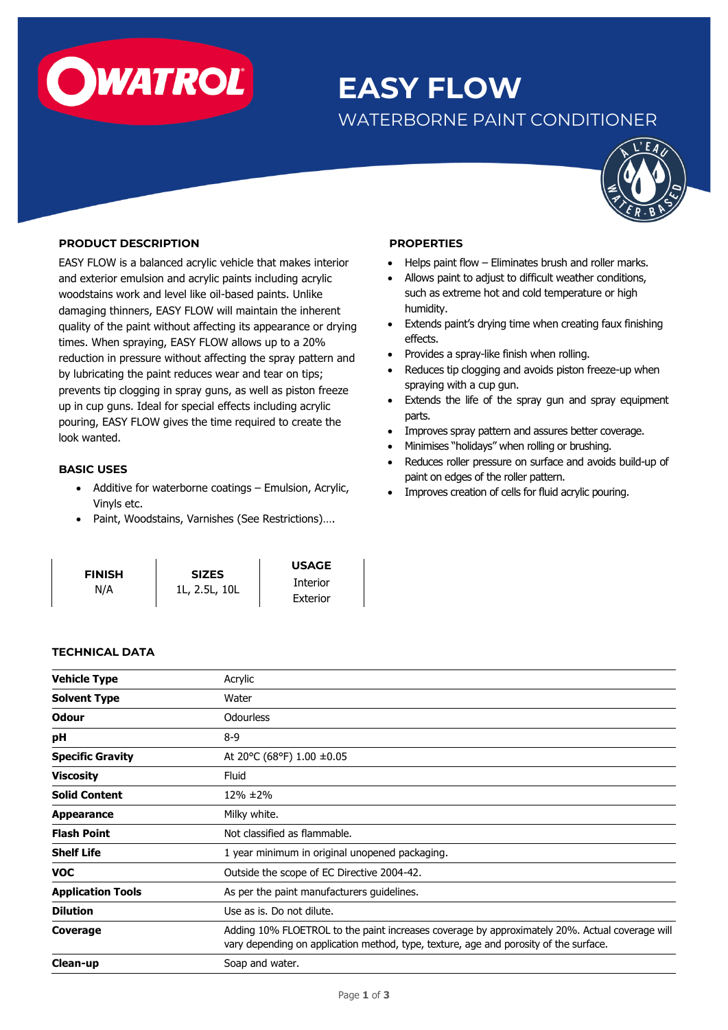

# **EASY FLOW**

# WATERBORNE PAINT CONDITIONER



# **PRODUCT DESCRIPTION**

EASY FLOW is a balanced acrylic vehicle that makes interior and exterior emulsion and acrylic paints including acrylic woodstains work and level like oil-based paints. Unlike damaging thinners, EASY FLOW will maintain the inherent quality of the paint without affecting its appearance or drying times. When spraying, EASY FLOW allows up to a 20% reduction in pressure without affecting the spray pattern and by lubricating the paint reduces wear and tear on tips; prevents tip clogging in spray guns, as well as piston freeze up in cup guns. Ideal for special effects including acrylic pouring, EASY FLOW gives the time required to create the look wanted.

# **BASIC USES**

- Additive for waterborne coatings Emulsion, Acrylic, Vinyls etc.
- Paint, Woodstains, Varnishes (See Restrictions)….

| <b>FINISH</b> | <b>SIZES</b>  | <b>USAGE</b>    |
|---------------|---------------|-----------------|
| N/A           | 1L, 2.5L, 10L | <b>Interior</b> |
|               |               | Exterior        |

#### **PROPERTIES**

- Helps paint flow Eliminates brush and roller marks.
- Allows paint to adjust to difficult weather conditions, such as extreme hot and cold temperature or high humidity.
- Extends paint's drying time when creating faux finishing effects.
- Provides a spray-like finish when rolling.
- Reduces tip clogging and avoids piston freeze-up when spraying with a cup gun.
- Extends the life of the spray gun and spray equipment parts.
- Improves spray pattern and assures better coverage.
- Minimises "holidays" when rolling or brushing.
- Reduces roller pressure on surface and avoids build-up of paint on edges of the roller pattern.
- Improves creation of cells for fluid acrylic pouring.

| <b>Vehicle Type</b>      | Acrylic                                                                                                                                                                                 |  |
|--------------------------|-----------------------------------------------------------------------------------------------------------------------------------------------------------------------------------------|--|
| <b>Solvent Type</b>      | Water                                                                                                                                                                                   |  |
| <b>Odour</b>             | <b>Odourless</b>                                                                                                                                                                        |  |
| рH                       | $8-9$                                                                                                                                                                                   |  |
| <b>Specific Gravity</b>  | At 20°C (68°F) 1.00 $\pm$ 0.05                                                                                                                                                          |  |
| <b>Viscosity</b>         | Fluid                                                                                                                                                                                   |  |
| <b>Solid Content</b>     | $12\% \pm 2\%$                                                                                                                                                                          |  |
| <b>Appearance</b>        | Milky white.                                                                                                                                                                            |  |
| <b>Flash Point</b>       | Not classified as flammable.                                                                                                                                                            |  |
| <b>Shelf Life</b>        | 1 year minimum in original unopened packaging.                                                                                                                                          |  |
| <b>VOC</b>               | Outside the scope of EC Directive 2004-42.                                                                                                                                              |  |
| <b>Application Tools</b> | As per the paint manufacturers guidelines.                                                                                                                                              |  |
| <b>Dilution</b>          | Use as is. Do not dilute.                                                                                                                                                               |  |
| Coverage                 | Adding 10% FLOETROL to the paint increases coverage by approximately 20%. Actual coverage will<br>vary depending on application method, type, texture, age and porosity of the surface. |  |
| Clean-up                 | Soap and water.                                                                                                                                                                         |  |

# **TECHNICAL DATA**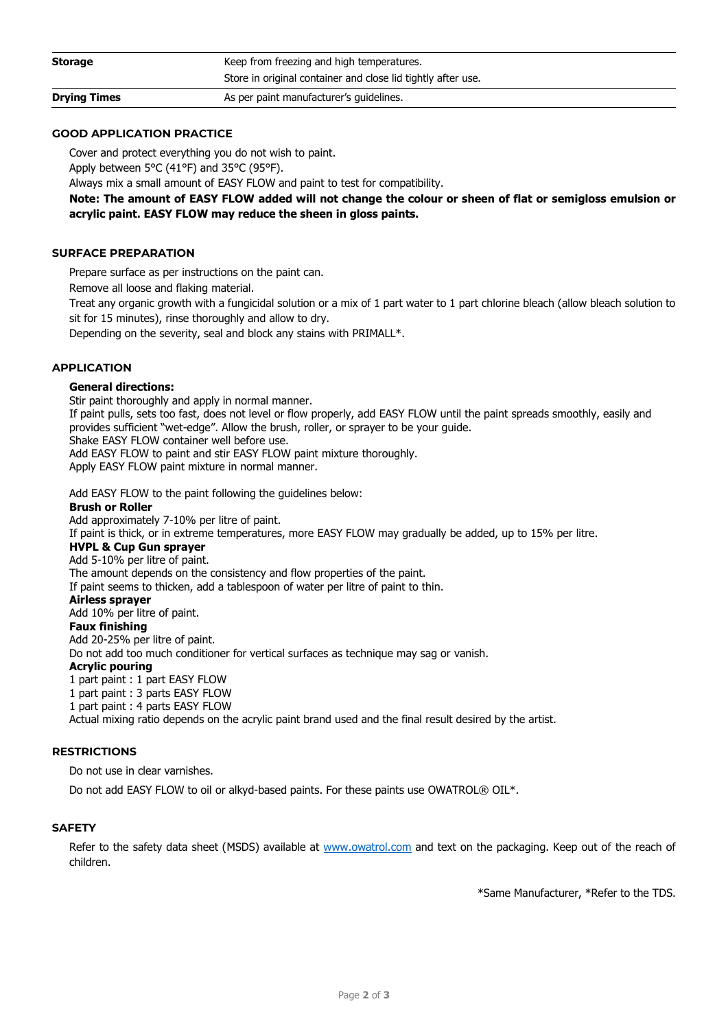| <b>Drying Times</b> | As per paint manufacturer's quidelines.                      |
|---------------------|--------------------------------------------------------------|
|                     | Store in original container and close lid tightly after use. |
| <b>Storage</b>      | Keep from freezing and high temperatures.                    |

# **GOOD APPLICATION PRACTICE**

Cover and protect everything you do not wish to paint.

Apply between 5°C (41°F) and 35°C (95°F).

Always mix a small amount of EASY FLOW and paint to test for compatibility.

**Note: The amount of EASY FLOW added will not change the colour or sheen of flat or semigloss emulsion or acrylic paint. EASY FLOW may reduce the sheen in gloss paints.** 

# **SURFACE PREPARATION**

Prepare surface as per instructions on the paint can.

Remove all loose and flaking material.

Treat any organic growth with a fungicidal solution or a mix of 1 part water to 1 part chlorine bleach (allow bleach solution to sit for 15 minutes), rinse thoroughly and allow to dry.

Depending on the severity, seal and block any stains with PRIMALL\*.

# **APPLICATION**

#### **General directions:**

Stir paint thoroughly and apply in normal manner. If paint pulls, sets too fast, does not level or flow properly, add EASY FLOW until the paint spreads smoothly, easily and provides sufficient "wet-edge". Allow the brush, roller, or sprayer to be your guide. Shake EASY FLOW container well before use.

Add EASY FLOW to paint and stir EASY FLOW paint mixture thoroughly. Apply EASY FLOW paint mixture in normal manner.

Add EASY FLOW to the paint following the guidelines below:

#### **Brush or Roller**

Add approximately 7-10% per litre of paint.

If paint is thick, or in extreme temperatures, more EASY FLOW may gradually be added, up to 15% per litre.

#### **HVPL & Cup Gun sprayer**

Add 5-10% per litre of paint. The amount depends on the consistency and flow properties of the paint.

If paint seems to thicken, add a tablespoon of water per litre of paint to thin.

**Airless sprayer**

Add 10% per litre of paint.

#### **Faux finishing**

Add 20-25% per litre of paint. Do not add too much conditioner for vertical surfaces as technique may sag or vanish. **Acrylic pouring** 1 part paint : 1 part EASY FLOW 1 part paint : 3 parts EASY FLOW 1 part paint : 4 parts EASY FLOW Actual mixing ratio depends on the acrylic paint brand used and the final result desired by the artist.

#### **RESTRICTIONS**

Do not use in clear varnishes.

Do not add EASY FLOW to oil or alkyd-based paints. For these paints use OWATROL® OIL\*.

# **SAFETY**

Refer to the safety data sheet (MSDS) available at [www.owatrol.com](http://www.owatrol.com/) and text on the packaging. Keep out of the reach of children.

\*Same Manufacturer, \*Refer to the TDS.